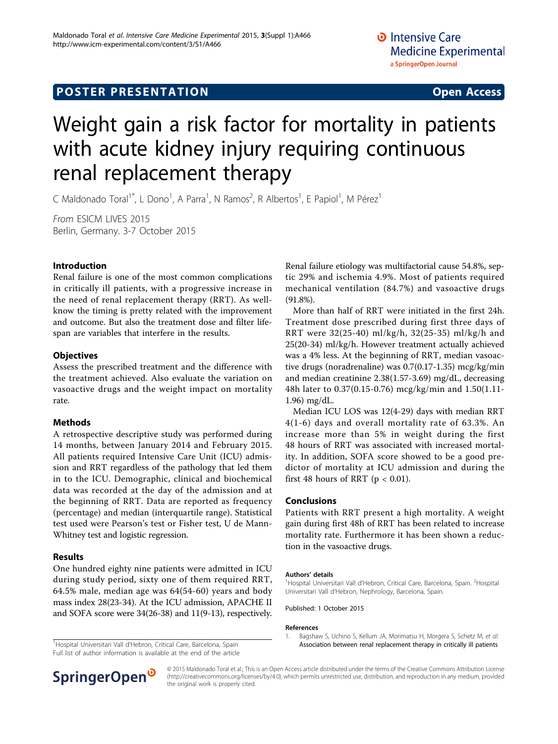# **POSTER PRESENTATION CONSUMING THE SERVICE SERVICE SERVICES**

# Weight gain a risk factor for mortality in patients with acute kidney injury requiring continuous renal replacement therapy

C Maldonado Toral<sup>1\*</sup>, L Dono<sup>1</sup>, A Parra<sup>1</sup>, N Ramos<sup>2</sup>, R Albertos<sup>1</sup>, E Papiol<sup>1</sup>, M Pérez<sup>1</sup>

From ESICM LIVES 2015 Berlin, Germany. 3-7 October 2015

### Introduction

Renal failure is one of the most common complications in critically ill patients, with a progressive increase in the need of renal replacement therapy (RRT). As wellknow the timing is pretty related with the improvement and outcome. But also the treatment dose and filter lifespan are variables that interfere in the results.

### **Objectives**

Assess the prescribed treatment and the difference with the treatment achieved. Also evaluate the variation on vasoactive drugs and the weight impact on mortality rate.

#### Methods

A retrospective descriptive study was performed during 14 months, between January 2014 and February 2015. All patients required Intensive Care Unit (ICU) admission and RRT regardless of the pathology that led them in to the ICU. Demographic, clinical and biochemical data was recorded at the day of the admission and at the beginning of RRT. Data are reported as frequency (percentage) and median (interquartile range). Statistical test used were Pearson's test or Fisher test, U de Mann-Whitney test and logistic regression.

## Results

One hundred eighty nine patients were admitted in ICU during study period, sixty one of them required RRT, 64.5% male, median age was 64(54-60) years and body mass index 28(23-34). At the ICU admission, APACHE II and SOFA score were 34(26-38) and 11(9-13), respectively.

Full list of author information is available at the end of the article



More than half of RRT were initiated in the first 24h. Treatment dose prescribed during first three days of RRT were 32(25-40) ml/kg/h, 32(25-35) ml/kg/h and 25(20-34) ml/kg/h. However treatment actually achieved was a 4% less. At the beginning of RRT, median vasoactive drugs (noradrenaline) was 0.7(0.17-1.35) mcg/kg/min and median creatinine 2.38(1.57-3.69) mg/dL, decreasing 48h later to 0.37(0.15-0.76) mcg/kg/min and 1.50(1.11- 1.96) mg/dL.

Median ICU LOS was 12(4-29) days with median RRT 4(1-6) days and overall mortality rate of 63.3%. An increase more than 5% in weight during the first 48 hours of RRT was associated with increased mortality. In addition, SOFA score showed to be a good predictor of mortality at ICU admission and during the first 48 hours of RRT ( $p < 0.01$ ).

#### Conclusions

Patients with RRT present a high mortality. A weight gain during first 48h of RRT has been related to increase mortality rate. Furthermore it has been shown a reduction in the vasoactive drugs.

#### Authors' details <sup>1</sup>

Hospital Universitari Vall d'Hebron, Critical Care, Barcelona, Spain. <sup>2</sup>Hospital Universitari Vall d'Hebron, Nephrology, Barcelona, Spain.

Published: 1 October 2015

#### References

1. Bagshaw S, Uchino S, Kellum JA, Morimatsu H, Morgera S, Schetz M, et al: <sup>1</sup>Hospital Universitari Vall d'Hebron, Critical Care, Barcelona, Spain **1989 entre 1989 [Association between renal replacement therapy in critically ill patients](http://www.ncbi.nlm.nih.gov/pubmed/24075302?dopt=Abstract)** 



© 2015 Maldonado Toral et al.; This is an Open Access article distributed under the terms of the Creative Commons Attribution License [\(http://creativecommons.org/licenses/by/4.0](http://creativecommons.org/licenses/by/4.0)), which permits unrestricted use, distribution, and reproduction in any medium, provided the original work is properly cited.